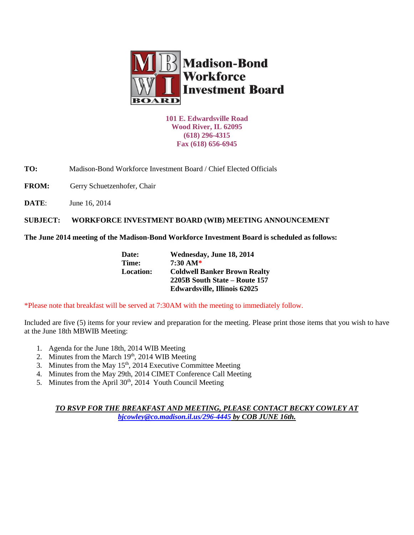

**101 E. Edwardsville Road Wood River, IL 62095 (618) 296-4315 Fax (618) 656-6945**

**TO:** Madison-Bond Workforce Investment Board / Chief Elected Officials

FROM: Gerry Schuetzenhofer, Chair

**DATE:** June 16, 2014

**SUBJECT: WORKFORCE INVESTMENT BOARD (WIB) MEETING ANNOUNCEMENT** 

**The June 2014 meeting of the Madison-Bond Workforce Investment Board is scheduled as follows:**

| Date:            | Wednesday, June 18, 2014            |
|------------------|-------------------------------------|
| Time:            | $7:30 \text{ AM*}$                  |
| <b>Location:</b> | <b>Coldwell Banker Brown Realty</b> |
|                  | 2205B South State – Route 157       |
|                  | <b>Edwardsville, Illinois 62025</b> |

\*Please note that breakfast will be served at 7:30AM with the meeting to immediately follow.

Included are five (5) items for your review and preparation for the meeting. Please print those items that you wish to have at the June 18th MBWIB Meeting:

- 1. Agenda for the June 18th, 2014 WIB Meeting
- 2. Minutes from the March  $19<sup>th</sup>$ , 2014 WIB Meeting
- 3. Minutes from the May  $15<sup>th</sup>$ , 2014 Executive Committee Meeting
- 4. Minutes from the May 29th, 2014 CIMET Conference Call Meeting
- 5. Minutes from the April  $30<sup>th</sup>$ ,  $2014$  Youth Council Meeting

*TO RSVP FOR THE BREAKFAST AND MEETING, PLEASE CONTACT BECKY COWLEY AT [bjcowley@co.madison.il.us/](mailto:bjcowley@co.madison.il.us)296-4445 by COB JUNE 16th.*